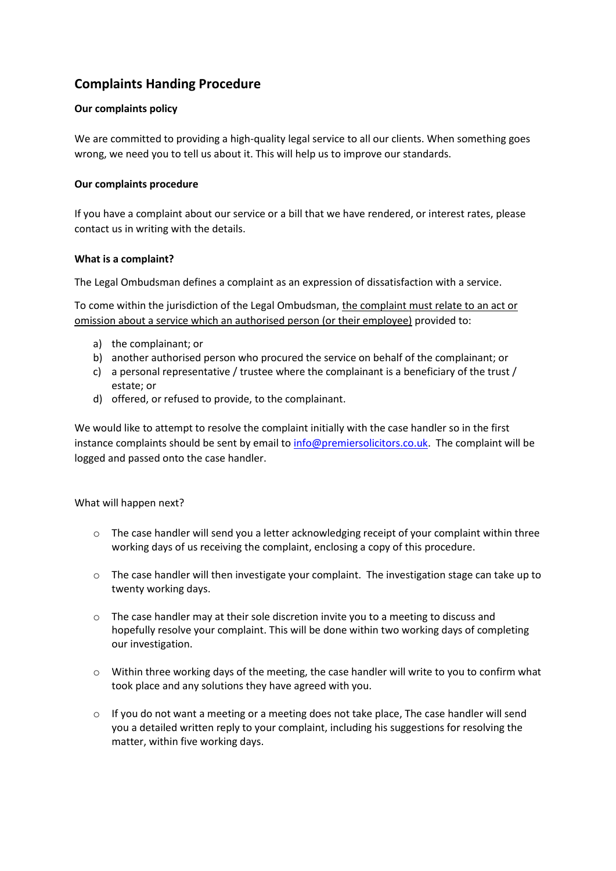# **Complaints Handing Procedure**

## **Our complaints policy**

We are committed to providing a high-quality legal service to all our clients. When something goes wrong, we need you to tell us about it. This will help us to improve our standards.

## **Our complaints procedure**

If you have a complaint about our service or a bill that we have rendered, or interest rates, please contact us in writing with the details.

### **What is a complaint?**

The Legal Ombudsman defines a complaint as an expression of dissatisfaction with a service.

To come within the jurisdiction of the Legal Ombudsman, the complaint must relate to an act or omission about a service which an authorised person (or their employee) provided to:

- a) the complainant; or
- b) another authorised person who procured the service on behalf of the complainant; or
- c) a personal representative / trustee where the complainant is a beneficiary of the trust / estate; or
- d) offered, or refused to provide, to the complainant.

We would like to attempt to resolve the complaint initially with the case handler so in the first instance complaints should be sent by email t[o info@premiersolicitors.co.uk.](mailto:info@premiersolicitors.co.uk) The complaint will be logged and passed onto the case handler.

### What will happen next?

- $\circ$  The case handler will send you a letter acknowledging receipt of your complaint within three working days of us receiving the complaint, enclosing a copy of this procedure.
- $\circ$  The case handler will then investigate your complaint. The investigation stage can take up to twenty working days.
- o The case handler may at their sole discretion invite you to a meeting to discuss and hopefully resolve your complaint. This will be done within two working days of completing our investigation.
- $\circ$  Within three working days of the meeting, the case handler will write to you to confirm what took place and any solutions they have agreed with you.
- $\circ$  If you do not want a meeting or a meeting does not take place, The case handler will send you a detailed written reply to your complaint, including his suggestions for resolving the matter, within five working days.